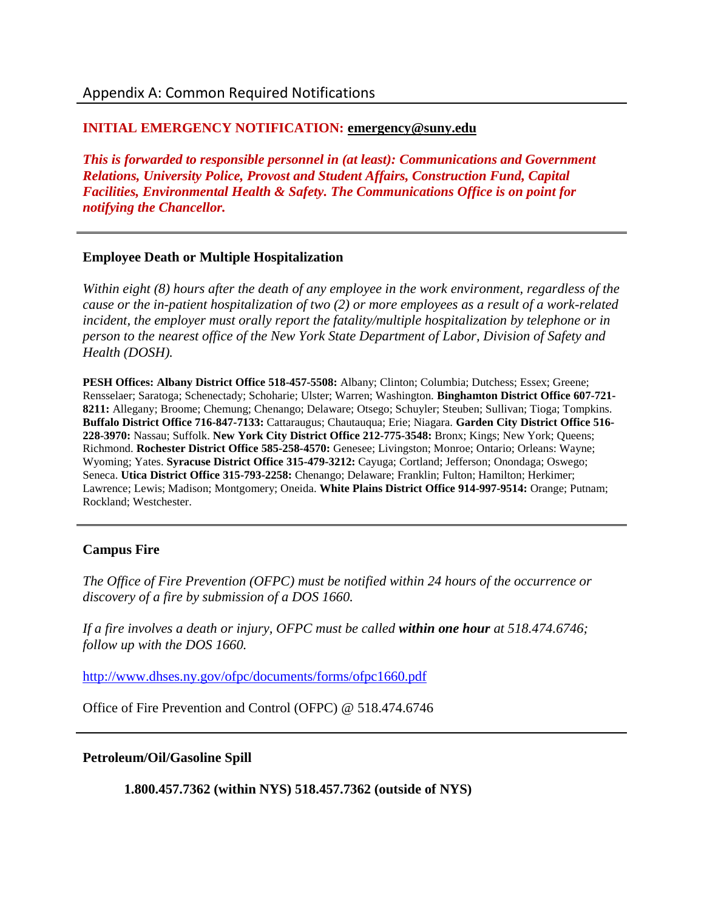## **INITIAL EMERGENCY NOTIFICATION: [emergency@suny.edu](mailto:emergency@suny.edu)**

*This is forwarded to responsible personnel in (at least): Communications and Government Relations, University Police, Provost and Student Affairs, Construction Fund, Capital Facilities, Environmental Health & Safety. The Communications Office is on point for notifying the Chancellor.* 

### **Employee Death or Multiple Hospitalization**

*Within eight (8) hours after the death of any employee in the work environment, regardless of the cause or the in-patient hospitalization of two (2) or more employees as a result of a work-related incident, the employer must orally report the fatality/multiple hospitalization by telephone or in person to the nearest office of the New York State Department of Labor, Division of Safety and Health (DOSH).*

**PESH Offices: Albany District Office 518-457-5508:** Albany; Clinton; Columbia; Dutchess; Essex; Greene; Rensselaer; Saratoga; Schenectady; Schoharie; Ulster; Warren; Washington. **Binghamton District Office 607-721- 8211:** Allegany; Broome; Chemung; Chenango; Delaware; Otsego; Schuyler; Steuben; Sullivan; Tioga; Tompkins. **Buffalo District Office 716-847-7133:** Cattaraugus; Chautauqua; Erie; Niagara. **Garden City District Office 516- 228-3970:** Nassau; Suffolk. **New York City District Office 212-775-3548:** Bronx; Kings; New York; Queens; Richmond. **Rochester District Office 585-258-4570:** Genesee; Livingston; Monroe; Ontario; Orleans: Wayne; Wyoming; Yates. **Syracuse District Office 315-479-3212:** Cayuga; Cortland; Jefferson; Onondaga; Oswego; Seneca. **Utica District Office 315-793-2258:** Chenango; Delaware; Franklin; Fulton; Hamilton; Herkimer; Lawrence; Lewis; Madison; Montgomery; Oneida. **White Plains District Office 914-997-9514:** Orange; Putnam; Rockland; Westchester.

## **Campus Fire**

*The Office of Fire Prevention (OFPC) must be notified within 24 hours of the occurrence or discovery of a fire by submission of a DOS 1660.*

*If a fire involves a death or injury, OFPC must be called within one hour at 518.474.6746; follow up with the DOS 1660.*

<http://www.dhses.ny.gov/ofpc/documents/forms/ofpc1660.pdf>

Office of Fire Prevention and Control (OFPC) @ 518.474.6746

#### **Petroleum/Oil/Gasoline Spill**

**1.800.457.7362 (within NYS) 518.457.7362 (outside of NYS)**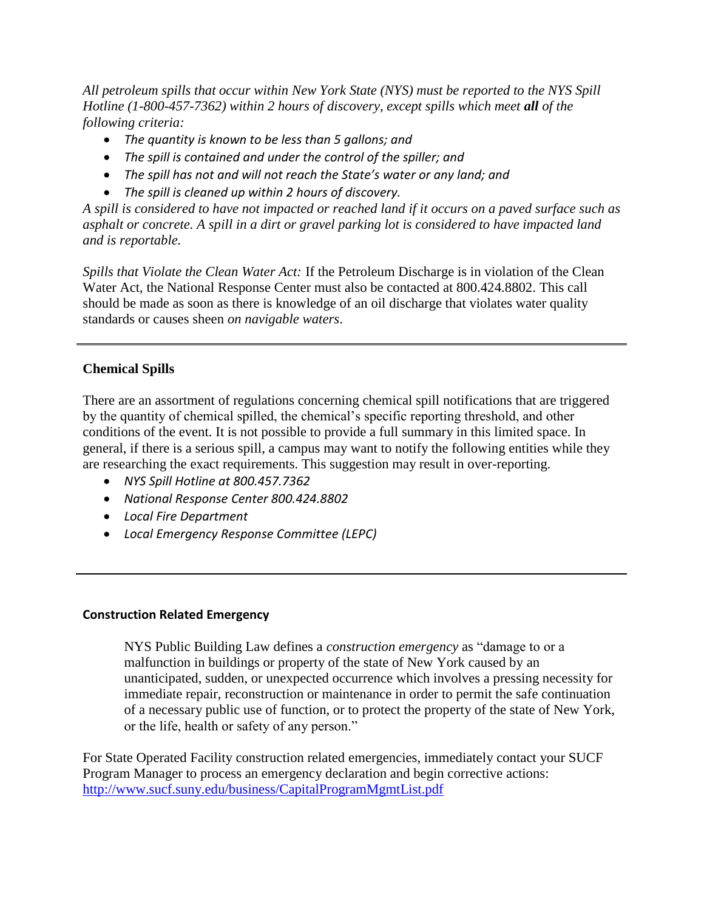*All petroleum spills that occur within New York State (NYS) must be reported to the NYS Spill Hotline (1-800-457-7362) within 2 hours of discovery, except spills which meet all of the following criteria:*

- *The quantity is known to be less than 5 gallons; and*
- *The spill is contained and under the control of the spiller; and*
- *The spill has not and will not reach the State's water or any land; and*
- *The spill is cleaned up within 2 hours of discovery.*

*A spill is considered to have not impacted or reached land if it occurs on a paved surface such as asphalt or concrete. A spill in a dirt or gravel parking lot is considered to have impacted land and is reportable.* 

*Spills that Violate the Clean Water Act:* If the Petroleum Discharge is in violation of the Clean Water Act, the National Response Center must also be contacted at 800.424.8802. This call should be made as soon as there is knowledge of an oil discharge that violates water quality standards or causes sheen *on navigable waters*.

# **Chemical Spills**

There are an assortment of regulations concerning chemical spill notifications that are triggered by the quantity of chemical spilled, the chemical's specific reporting threshold, and other conditions of the event. It is not possible to provide a full summary in this limited space. In general, if there is a serious spill, a campus may want to notify the following entities while they are researching the exact requirements. This suggestion may result in over-reporting.

- *NYS Spill Hotline at 800.457.7362*
- *National Response Center 800.424.8802*
- *Local Fire Department*
- *Local Emergency Response Committee (LEPC)*

#### **Construction Related Emergency**

NYS Public Building Law defines a *construction emergency* as "damage to or a malfunction in buildings or property of the state of New York caused by an unanticipated, sudden, or unexpected occurrence which involves a pressing necessity for immediate repair, reconstruction or maintenance in order to permit the safe continuation of a necessary public use of function, or to protect the property of the state of New York, or the life, health or safety of any person."

For State Operated Facility construction related emergencies, immediately contact your SUCF Program Manager to process an emergency declaration and begin corrective actions: <http://www.sucf.suny.edu/business/CapitalProgramMgmtList.pdf>